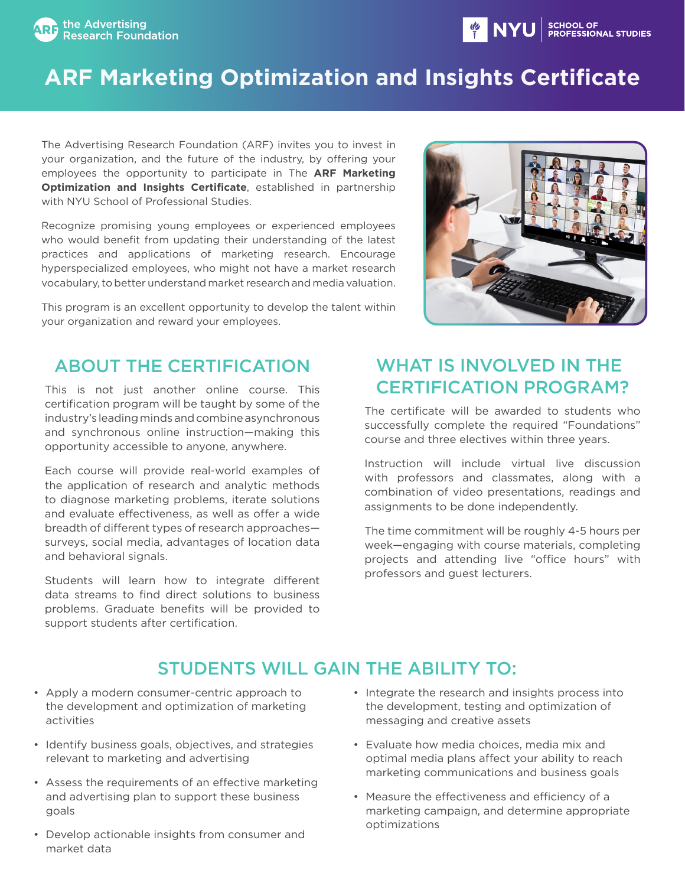



The Advertising Research Foundation (ARF) invites you to invest in your organization, and the future of the industry, by offering your employees the opportunity to participate in The **ARF Marketing Optimization and Insights Certificate**, established in partnership with NYU School of Professional Studies.

Recognize promising young employees or experienced employees who would benefit from updating their understanding of the latest practices and applications of marketing research. Encourage hyperspecialized employees, who might not have a market research vocabulary, to better understand market research and media valuation.

This program is an excellent opportunity to develop the talent within your organization and reward your employees.



## ABOUT THE CERTIFICATION

This is not just another online course. This certification program will be taught by some of the industry's leading minds and combine asynchronous and synchronous online instruction—making this opportunity accessible to anyone, anywhere.

Each course will provide real-world examples of the application of research and analytic methods to diagnose marketing problems, iterate solutions and evaluate effectiveness, as well as offer a wide breadth of different types of research approaches surveys, social media, advantages of location data and behavioral signals.

Students will learn how to integrate different data streams to find direct solutions to business problems. Graduate benefits will be provided to support students after certification.

# WHAT IS INVOLVED IN THE CERTIFICATION PROGRAM?

**OF A SET SET STATE** 

SCHOOL OF

**ESSIONAL STUDIES** 

The certificate will be awarded to students who successfully complete the required "Foundations" course and three electives within three years.

Instruction will include virtual live discussion with professors and classmates, along with a combination of video presentations, readings and assignments to be done independently.

The time commitment will be roughly 4-5 hours per week—engaging with course materials, completing projects and attending live "office hours" with professors and guest lecturers.

# STUDENTS WILL GAIN THE ABILITY TO:

- Apply a modern consumer-centric approach to the development and optimization of marketing activities
- Identify business goals, objectives, and strategies relevant to marketing and advertising
- Assess the requirements of an effective marketing and advertising plan to support these business goals
- Develop actionable insights from consumer and market data
- Integrate the research and insights process into the development, testing and optimization of messaging and creative assets
- Evaluate how media choices, media mix and optimal media plans affect your ability to reach marketing communications and business goals
- Measure the effectiveness and efficiency of a marketing campaign, and determine appropriate optimizations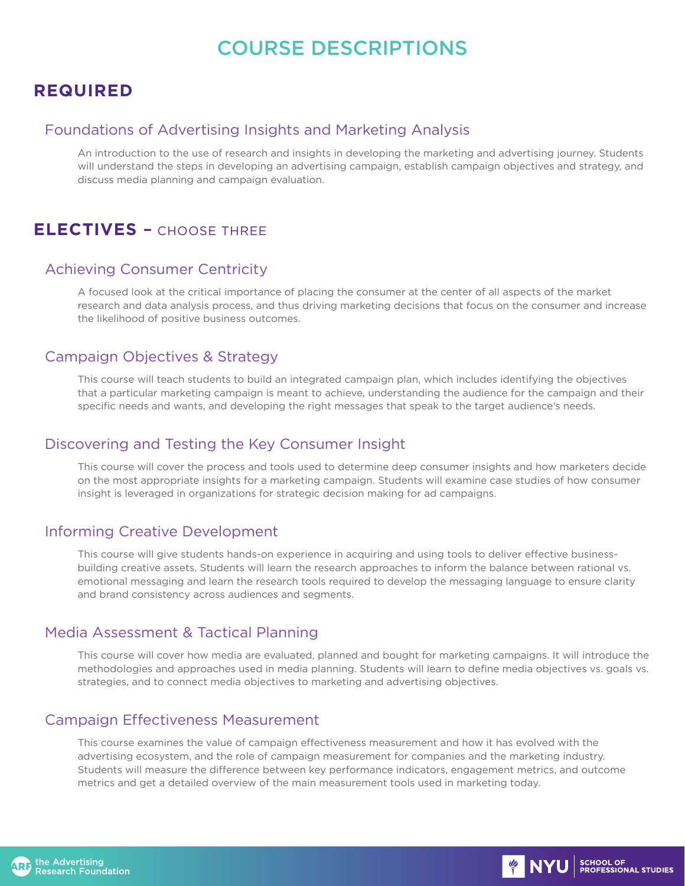# COURSE DESCRIPTIONS

## **REQUIRED**

### Foundations of Advertising Insights and Marketing Analysis

An introduction to the use of research and insights in developing the marketing and advertising journey. Students will understand the steps in developing an advertising campaign, establish campaign objectives and strategy, and discuss media planning and campaign evaluation.

## **ELECTIVES** – CHOOSE THREE

## Achieving Consumer Centricity

A focused look at the critical importance of placing the consumer at the center of all aspects of the market research and data analysis process, and thus driving marketing decisions that focus on the consumer and increase the likelihood of positive business outcomes.

### Campaign Objectives & Strategy

This course will teach students to build an integrated campaign plan, which includes identifying the objectives that a particular marketing campaign is meant to achieve, understanding the audience for the campaign and their specific needs and wants, and developing the right messages that speak to the target audience's needs.

### Discovering and Testing the Key Consumer Insight

This course will cover the process and tools used to determine deep consumer insights and how marketers decide on the most appropriate insights for a marketing campaign. Students will examine case studies of how consumer insight is leveraged in organizations for strategic decision making for ad campaigns.

## Informing Creative Development

This course will give students hands-on experience in acquiring and using tools to deliver effective businessbuilding creative assets. Students will learn the research approaches to inform the balance between rational vs. emotional messaging and learn the research tools required to develop the messaging language to ensure clarity and brand consistency across audiences and segments.

## Media Assessment & Tactical Planning

This course will cover how media are evaluated, planned and bought for marketing campaigns. It will introduce the methodologies and approaches used in media planning. Students will learn to define media objectives vs. goals vs. strategies, and to connect media objectives to marketing and advertising objectives.

## Campaign Effectiveness Measurement

This course examines the value of campaign effectiveness measurement and how it has evolved with the advertising ecosystem, and the role of campaign measurement for companies and the marketing industry. Students will measure the difference between key performance indicators, engagement metrics, and outcome metrics and get a detailed overview of the main measurement tools used in marketing today.

**WE NYU** SCHOOL OF

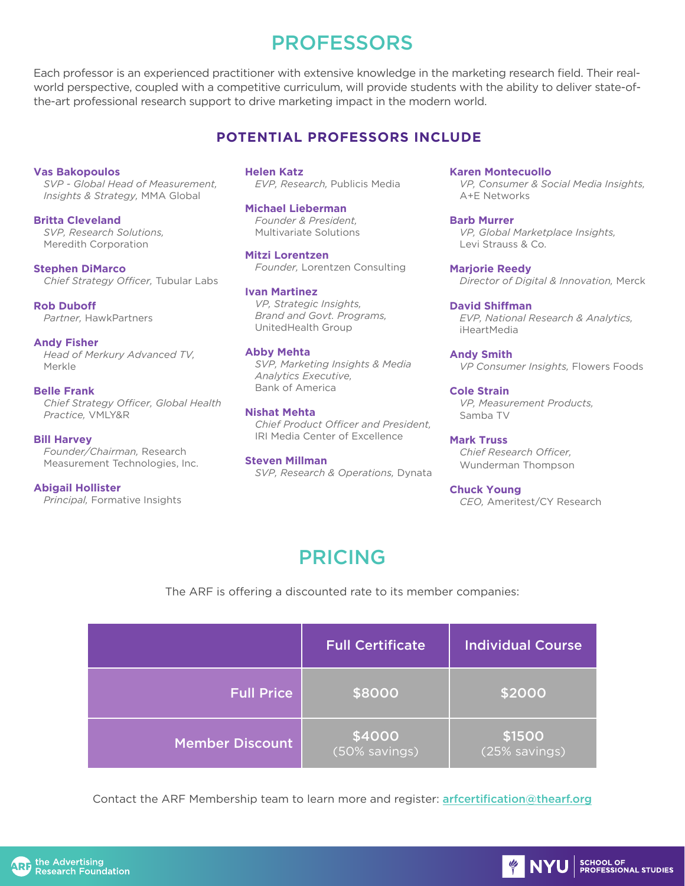# **PROFESSORS**

Each professor is an experienced practitioner with extensive knowledge in the marketing research field. Their realworld perspective, coupled with a competitive curriculum, will provide students with the ability to deliver state-ofthe-art professional research support to drive marketing impact in the modern world.

## **POTENTIAL PROFESSORS INCLUDE**

#### **Vas Bakopoulos**

*SVP - Global Head of Measurement, Insights & Strategy,* MMA Global

#### **Britta Cleveland**

*SVP, Research Solutions,* Meredith Corporation

**Stephen DiMarco** *Chief Strategy Officer,* Tubular Labs

**Rob Duboff** *Partner,* HawkPartners

#### **Andy Fisher**

*Head of Merkury Advanced TV,*  Merkle

#### **Belle Frank**

*Chief Strategy Officer, Global Health Practice,* VMLY&R

#### **Bill Harvey**

*Founder/Chairman,* Research Measurement Technologies, Inc.

#### **Abigail Hollister**

*Principal,* Formative Insights

**Helen Katz** *EVP, Research,* Publicis Media

#### **Michael Lieberman**

*Founder & President,* Multivariate Solutions

#### **Mitzi Lorentzen**

*Founder,* Lorentzen Consulting

#### **Ivan Martinez**

*VP, Strategic Insights, Brand and Govt. Programs,* UnitedHealth Group

#### **Abby Mehta**

*SVP, Marketing Insights & Media Analytics Executive,* Bank of America

#### **Nishat Mehta**

*Chief Product Officer and President,* IRI Media Center of Excellence

#### **Steven Millman**

*SVP, Research & Operations,* Dynata

**Karen Montecuollo**

*VP, Consumer & Social Media Insights,*  A+E Networks

**Barb Murrer** *VP, Global Marketplace Insights,* Levi Strauss & Co.

**Marjorie Reedy** *Director of Digital & Innovation,* Merck

#### **David Shiffman**

*EVP, National Research & Analytics,*  iHeartMedia

**Andy Smith** *VP Consumer Insights,* Flowers Foods

**Cole Strain** *VP, Measurement Products,* Samba TV

**Mark Truss** *Chief Research Officer,* Wunderman Thompson

**Chuck Young** *CEO,* Ameritest/CY Research

# PRICING

The ARF is offering a discounted rate to its member companies:

|                        | <b>Full Certificate</b> | <b>Individual Course</b>                  |
|------------------------|-------------------------|-------------------------------------------|
| <b>Full Price</b>      | \$8000                  | \$2000                                    |
| <b>Member Discount</b> | \$4000<br>(50% savings) | $\overline{\ket{$1500}}$<br>(25% savings) |

Contact the ARF Membership team to learn more and register: **arfcertification@thearf.org** 

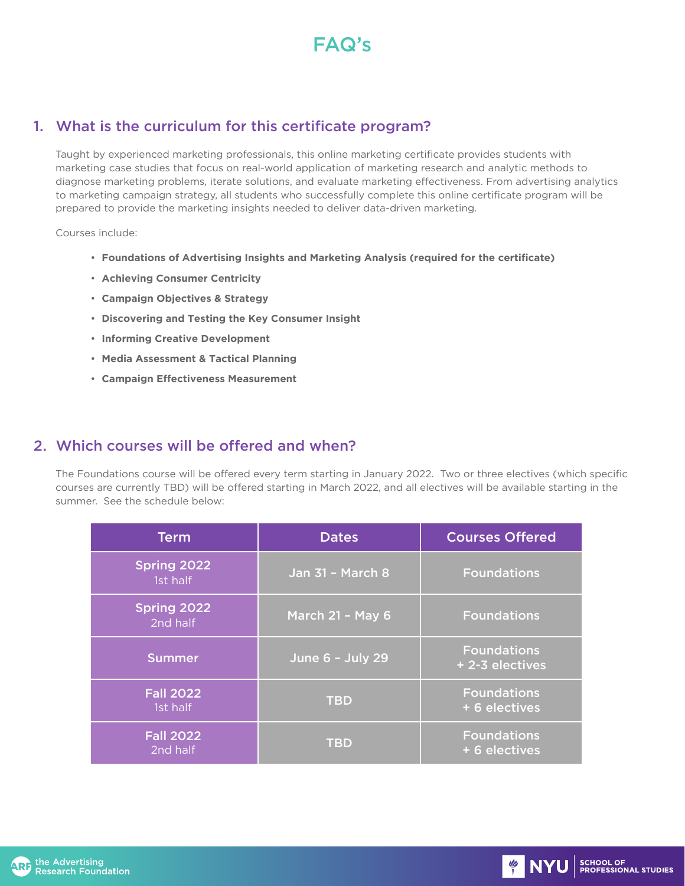

## 1. What is the curriculum for this certificate program?

Taught by experienced marketing professionals, this online marketing certificate provides students with marketing case studies that focus on real-world application of marketing research and analytic methods to diagnose marketing problems, iterate solutions, and evaluate marketing effectiveness. From advertising analytics to marketing campaign strategy, all students who successfully complete this online certificate program will be prepared to provide the marketing insights needed to deliver data-driven marketing.

Courses include:

- **Foundations of Advertising Insights and Marketing Analysis (required for the certificate)**
- **Achieving Consumer Centricity**
- **Campaign Objectives & Strategy**
- **Discovering and Testing the Key Consumer Insight**
- **Informing Creative Development**
- **Media Assessment & Tactical Planning**
- **Campaign Effectiveness Measurement**

## 2. Which courses will be offered and when?

The Foundations course will be offered every term starting in January 2022. Two or three electives (which specific courses are currently TBD) will be offered starting in March 2022, and all electives will be available starting in the summer. See the schedule below:

| <b>Term</b>                  | <b>Dates</b>            | <b>Courses Offered</b>                |
|------------------------------|-------------------------|---------------------------------------|
| Spring 2022<br>1st half      | <b>Jan 31 - March 8</b> | <b>Foundations</b>                    |
| Spring 2022<br>2nd half      | March 21 - May 6        | <b>Foundations</b>                    |
| <b>Summer</b>                | June 6 - July 29        | <b>Foundations</b><br>+ 2-3 electives |
| <b>Fall 2022</b><br>1st half | <b>TBD</b>              | <b>Foundations</b><br>+ 6 electives   |
| <b>Fall 2022</b><br>2nd half | <b>TBD</b>              | <b>Foundations</b><br>+ 6 electives   |

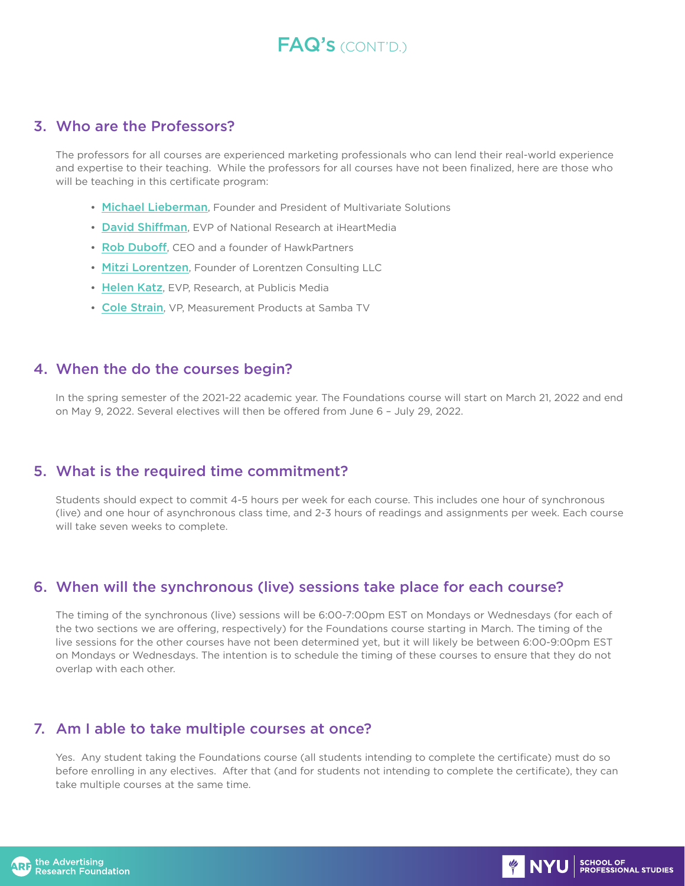# FAQ's (CONT'D.)

## 3. Who are the Professors?

The professors for all courses are experienced marketing professionals who can lend their real-world experience and expertise to their teaching. While the professors for all courses have not been finalized, here are those who will be teaching in this certificate program:

- Michael Lieberman, Founder and President of Multivariate Solutions
- David Shiffman, EVP of National Research at iHeartMedia
- Rob Duboff, CEO and a founder of HawkPartners
- Mitzi Lorentzen, Founder of Lorentzen Consulting LLC
- Helen Katz, EVP, Research, at Publicis Media
- Cole Strain, VP, Measurement Products at Samba TV

## 4. When the do the courses begin?

In the spring semester of the 2021-22 academic year. The Foundations course will start on March 21, 2022 and end on May 9, 2022. Several electives will then be offered from June 6 – July 29, 2022.

## 5. What is the required time commitment?

Students should expect to commit 4-5 hours per week for each course. This includes one hour of synchronous (live) and one hour of asynchronous class time, and 2-3 hours of readings and assignments per week. Each course will take seven weeks to complete.

## 6. When will the synchronous (live) sessions take place for each course?

The timing of the synchronous (live) sessions will be 6:00-7:00pm EST on Mondays or Wednesdays (for each of the two sections we are offering, respectively) for the Foundations course starting in March. The timing of the live sessions for the other courses have not been determined yet, but it will likely be between 6:00-9:00pm EST on Mondays or Wednesdays. The intention is to schedule the timing of these courses to ensure that they do not overlap with each other.

## 7. Am I able to take multiple courses at once?

Yes. Any student taking the Foundations course (all students intending to complete the certificate) must do so before enrolling in any electives. After that (and for students not intending to complete the certificate), they can take multiple courses at the same time.

**EXAMPLE SCHOOL OF SCHOOL OF STUDIES**